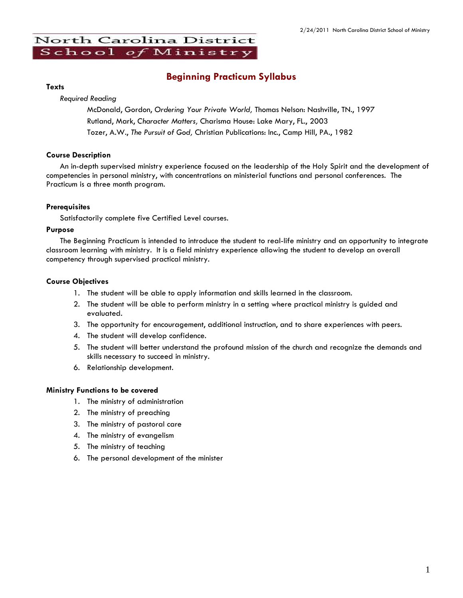#### North Carolina District School of Ministry

# **Beginning Practicum Syllabus**

#### **Texts**

#### *Required Reading*

McDonald, Gordon, *Ordering Your Private World,* Thomas Nelson: Nashville, TN., 1997 Rutland, Mark, *Character Matters,* Charisma House: Lake Mary, FL., 2003 Tozer, A.W., *The Pursuit of God,* Christian Publications: Inc., Camp Hill, PA., 1982

## **Course Description**

An in-depth supervised ministry experience focused on the leadership of the Holy Spirit and the development of competencies in personal ministry, with concentrations on ministerial functions and personal conferences. The Practicum is a three month program.

## **Prerequisites**

Satisfactorily complete five Certified Level courses.

#### **Purpose**

The Beginning Practicum is intended to introduce the student to real-life ministry and an opportunity to integrate classroom learning with ministry. It is a field ministry experience allowing the student to develop an overall competency through supervised practical ministry.

## **Course Objectives**

- 1. The student will be able to apply information and skills learned in the classroom.
- 2. The student will be able to perform ministry in a setting where practical ministry is guided and evaluated.
- 3. The opportunity for encouragement, additional instruction, and to share experiences with peers.
- 4. The student will develop confidence.
- 5. The student will better understand the profound mission of the church and recognize the demands and skills necessary to succeed in ministry.
- 6. Relationship development.

## **Ministry Functions to be covered**

- 1. The ministry of administration
- 2. The ministry of preaching
- 3. The ministry of pastoral care
- 4. The ministry of evangelism
- 5. The ministry of teaching
- 6. The personal development of the minister